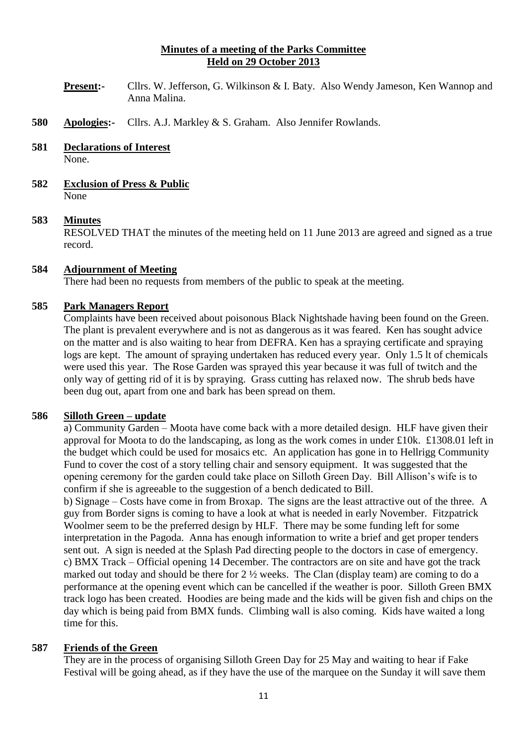## **Minutes of a meeting of the Parks Committee Held on 29 October 2013**

- **Present:-** Cllrs. W. Jefferson, G. Wilkinson & I. Baty. Also Wendy Jameson, Ken Wannop and Anna Malina.
- **580 Apologies:-** Cllrs. A.J. Markley & S. Graham. Also Jennifer Rowlands.
- **581 Declarations of Interest** None.
- **582 Exclusion of Press & Public** None

#### **583 Minutes**

RESOLVED THAT the minutes of the meeting held on 11 June 2013 are agreed and signed as a true record.

## **584 Adjournment of Meeting**

There had been no requests from members of the public to speak at the meeting.

## **585 Park Managers Report**

Complaints have been received about poisonous Black Nightshade having been found on the Green. The plant is prevalent everywhere and is not as dangerous as it was feared. Ken has sought advice on the matter and is also waiting to hear from DEFRA. Ken has a spraying certificate and spraying logs are kept. The amount of spraying undertaken has reduced every year. Only 1.5 lt of chemicals were used this year. The Rose Garden was sprayed this year because it was full of twitch and the only way of getting rid of it is by spraying. Grass cutting has relaxed now. The shrub beds have been dug out, apart from one and bark has been spread on them.

#### **586 Silloth Green – update**

a) Community Garden – Moota have come back with a more detailed design. HLF have given their approval for Moota to do the landscaping, as long as the work comes in under £10k. £1308.01 left in the budget which could be used for mosaics etc. An application has gone in to Hellrigg Community Fund to cover the cost of a story telling chair and sensory equipment. It was suggested that the opening ceremony for the garden could take place on Silloth Green Day. Bill Allison's wife is to confirm if she is agreeable to the suggestion of a bench dedicated to Bill.

b) Signage – Costs have come in from Broxap. The signs are the least attractive out of the three. A guy from Border signs is coming to have a look at what is needed in early November. Fitzpatrick Woolmer seem to be the preferred design by HLF. There may be some funding left for some interpretation in the Pagoda. Anna has enough information to write a brief and get proper tenders sent out. A sign is needed at the Splash Pad directing people to the doctors in case of emergency. c) BMX Track – Official opening 14 December. The contractors are on site and have got the track marked out today and should be there for  $2\frac{1}{2}$  weeks. The Clan (display team) are coming to do a performance at the opening event which can be cancelled if the weather is poor. Silloth Green BMX track logo has been created. Hoodies are being made and the kids will be given fish and chips on the day which is being paid from BMX funds. Climbing wall is also coming. Kids have waited a long time for this.

#### **587 Friends of the Green**

They are in the process of organising Silloth Green Day for 25 May and waiting to hear if Fake Festival will be going ahead, as if they have the use of the marquee on the Sunday it will save them